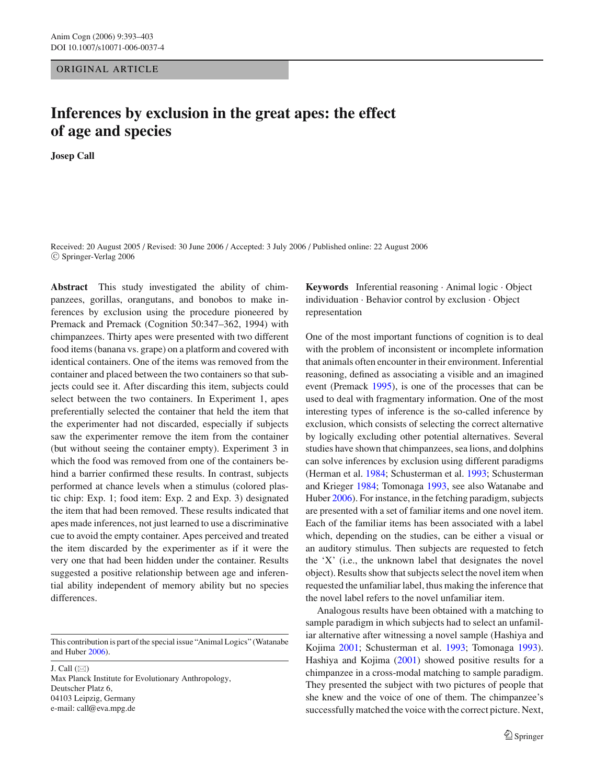# ORIGINAL ARTICLE

# **Inferences by exclusion in the great apes: the effect of age and species**

**Josep Call**

Received: 20 August 2005 / Revised: 30 June 2006 / Accepted: 3 July 2006 / Published online: 22 August 2006 <sup>C</sup> Springer-Verlag 2006

**Abstract** This study investigated the ability of chimpanzees, gorillas, orangutans, and bonobos to make inferences by exclusion using the procedure pioneered by Premack and Premack (Cognition 50:347–362, 1994) with chimpanzees. Thirty apes were presented with two different food items (banana vs. grape) on a platform and covered with identical containers. One of the items was removed from the container and placed between the two containers so that subjects could see it. After discarding this item, subjects could select between the two containers. In Experiment 1, apes preferentially selected the container that held the item that the experimenter had not discarded, especially if subjects saw the experimenter remove the item from the container (but without seeing the container empty). Experiment 3 in which the food was removed from one of the containers behind a barrier confirmed these results. In contrast, subjects performed at chance levels when a stimulus (colored plastic chip: Exp. 1; food item: Exp. 2 and Exp. 3) designated the item that had been removed. These results indicated that apes made inferences, not just learned to use a discriminative cue to avoid the empty container. Apes perceived and treated the item discarded by the experimenter as if it were the very one that had been hidden under the container. Results suggested a positive relationship between age and inferential ability independent of memory ability but no species differences.

This contribution is part of the special issue "Animal Logics" (Watanabe and Huber [2006\)](#page-10-0).

J. Call  $(\boxtimes)$ Max Planck Institute for Evolutionary Anthropology, Deutscher Platz 6, 04103 Leipzig, Germany e-mail: call@eva.mpg.de

**Keywords** Inferential reasoning . Animal logic . Object individuation . Behavior control by exclusion . Object representation

One of the most important functions of cognition is to deal with the problem of inconsistent or incomplete information that animals often encounter in their environment. Inferential reasoning, defined as associating a visible and an imagined event (Premack [1995\)](#page-10-1), is one of the processes that can be used to deal with fragmentary information. One of the most interesting types of inference is the so-called inference by exclusion, which consists of selecting the correct alternative by logically excluding other potential alternatives. Several studies have shown that chimpanzees, sea lions, and dolphins can solve inferences by exclusion using different paradigms (Herman et al. [1984;](#page-10-2) Schusterman et al. [1993;](#page-10-3) Schusterman and Krieger [1984;](#page-10-4) Tomonaga [1993,](#page-10-5) see also Watanabe and Huber [2006\)](#page-10-0). For instance, in the fetching paradigm, subjects are presented with a set of familiar items and one novel item. Each of the familiar items has been associated with a label which, depending on the studies, can be either a visual or an auditory stimulus. Then subjects are requested to fetch the 'X' (i.e., the unknown label that designates the novel object). Results show that subjects select the novel item when requested the unfamiliar label, thus making the inference that the novel label refers to the novel unfamiliar item.

Analogous results have been obtained with a matching to sample paradigm in which subjects had to select an unfamiliar alternative after witnessing a novel sample (Hashiya and Kojima [2001;](#page-10-6) Schusterman et al. [1993;](#page-10-3) Tomonaga [1993\)](#page-10-5). Hashiya and Kojima [\(2001\)](#page-10-6) showed positive results for a chimpanzee in a cross-modal matching to sample paradigm. They presented the subject with two pictures of people that she knew and the voice of one of them. The chimpanzee's successfully matched the voice with the correct picture. Next,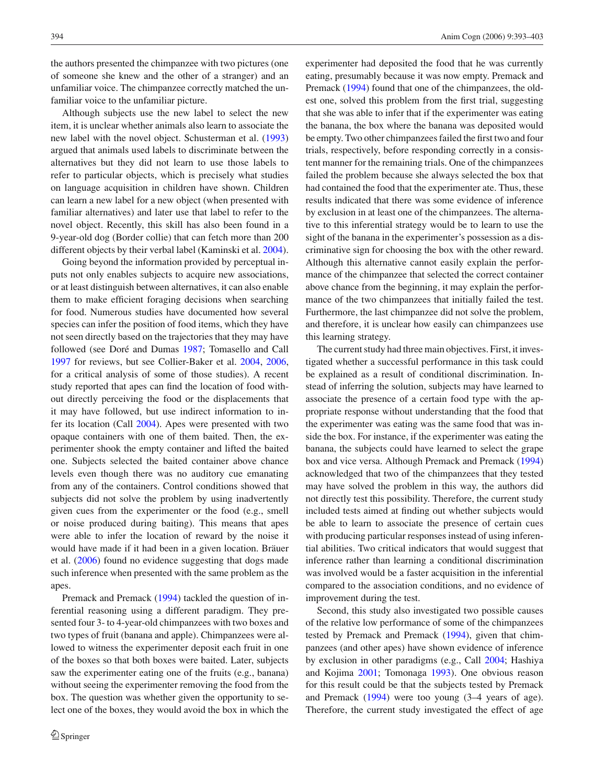the authors presented the chimpanzee with two pictures (one of someone she knew and the other of a stranger) and an unfamiliar voice. The chimpanzee correctly matched the unfamiliar voice to the unfamiliar picture.

Although subjects use the new label to select the new item, it is unclear whether animals also learn to associate the new label with the novel object. Schusterman et al. [\(1993\)](#page-10-3) argued that animals used labels to discriminate between the alternatives but they did not learn to use those labels to refer to particular objects, which is precisely what studies on language acquisition in children have shown. Children can learn a new label for a new object (when presented with familiar alternatives) and later use that label to refer to the novel object. Recently, this skill has also been found in a 9-year-old dog (Border collie) that can fetch more than 200 different objects by their verbal label (Kaminski et al. [2004\)](#page-10-7).

Going beyond the information provided by perceptual inputs not only enables subjects to acquire new associations, or at least distinguish between alternatives, it can also enable them to make efficient foraging decisions when searching for food. Numerous studies have documented how several species can infer the position of food items, which they have not seen directly based on the trajectories that they may have followed (see Doré and Dumas [1987;](#page-10-8) Tomasello and Call [1997](#page-10-9) for reviews, but see Collier-Baker et al. [2004,](#page-10-10) [2006,](#page-10-11) for a critical analysis of some of those studies). A recent study reported that apes can find the location of food without directly perceiving the food or the displacements that it may have followed, but use indirect information to infer its location (Call [2004\)](#page-10-12). Apes were presented with two opaque containers with one of them baited. Then, the experimenter shook the empty container and lifted the baited one. Subjects selected the baited container above chance levels even though there was no auditory cue emanating from any of the containers. Control conditions showed that subjects did not solve the problem by using inadvertently given cues from the experimenter or the food (e.g., smell or noise produced during baiting). This means that apes were able to infer the location of reward by the noise it would have made if it had been in a given location. Bräuer et al. [\(2006\)](#page-10-13) found no evidence suggesting that dogs made such inference when presented with the same problem as the apes.

Premack and Premack [\(1994\)](#page-10-14) tackled the question of inferential reasoning using a different paradigm. They presented four 3- to 4-year-old chimpanzees with two boxes and two types of fruit (banana and apple). Chimpanzees were allowed to witness the experimenter deposit each fruit in one of the boxes so that both boxes were baited. Later, subjects saw the experimenter eating one of the fruits (e.g., banana) without seeing the experimenter removing the food from the box. The question was whether given the opportunity to select one of the boxes, they would avoid the box in which the experimenter had deposited the food that he was currently eating, presumably because it was now empty. Premack and Premack [\(1994\)](#page-10-14) found that one of the chimpanzees, the oldest one, solved this problem from the first trial, suggesting that she was able to infer that if the experimenter was eating the banana, the box where the banana was deposited would be empty. Two other chimpanzees failed the first two and four trials, respectively, before responding correctly in a consistent manner for the remaining trials. One of the chimpanzees failed the problem because she always selected the box that had contained the food that the experimenter ate. Thus, these results indicated that there was some evidence of inference by exclusion in at least one of the chimpanzees. The alternative to this inferential strategy would be to learn to use the sight of the banana in the experimenter's possession as a discriminative sign for choosing the box with the other reward. Although this alternative cannot easily explain the performance of the chimpanzee that selected the correct container above chance from the beginning, it may explain the performance of the two chimpanzees that initially failed the test. Furthermore, the last chimpanzee did not solve the problem, and therefore, it is unclear how easily can chimpanzees use this learning strategy.

The current study had three main objectives. First, it investigated whether a successful performance in this task could be explained as a result of conditional discrimination. Instead of inferring the solution, subjects may have learned to associate the presence of a certain food type with the appropriate response without understanding that the food that the experimenter was eating was the same food that was inside the box. For instance, if the experimenter was eating the banana, the subjects could have learned to select the grape box and vice versa. Although Premack and Premack [\(1994\)](#page-10-14) acknowledged that two of the chimpanzees that they tested may have solved the problem in this way, the authors did not directly test this possibility. Therefore, the current study included tests aimed at finding out whether subjects would be able to learn to associate the presence of certain cues with producing particular responses instead of using inferential abilities. Two critical indicators that would suggest that inference rather than learning a conditional discrimination was involved would be a faster acquisition in the inferential compared to the association conditions, and no evidence of improvement during the test.

Second, this study also investigated two possible causes of the relative low performance of some of the chimpanzees tested by Premack and Premack [\(1994\)](#page-10-14), given that chimpanzees (and other apes) have shown evidence of inference by exclusion in other paradigms (e.g., Call [2004;](#page-10-12) Hashiya and Kojima [2001;](#page-10-6) Tomonaga [1993\)](#page-10-5). One obvious reason for this result could be that the subjects tested by Premack and Premack [\(1994\)](#page-10-14) were too young (3–4 years of age). Therefore, the current study investigated the effect of age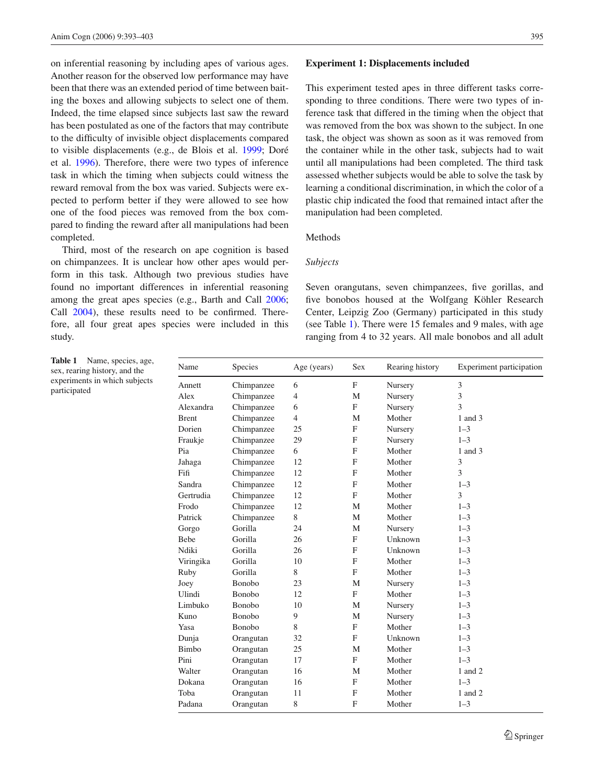on inferential reasoning by including apes of various ages. Another reason for the observed low performance may have been that there was an extended period of time between baiting the boxes and allowing subjects to select one of them. Indeed, the time elapsed since subjects last saw the reward has been postulated as one of the factors that may contribute to the difficulty of invisible object displacements compared to visible displacements (e.g., de Blois et al. [1999;](#page-10-15) Doré et al. [1996\)](#page-10-16). Therefore, there were two types of inference task in which the timing when subjects could witness the reward removal from the box was varied. Subjects were expected to perform better if they were allowed to see how one of the food pieces was removed from the box compared to finding the reward after all manipulations had been completed.

Third, most of the research on ape cognition is based on chimpanzees. It is unclear how other apes would perform in this task. Although two previous studies have found no important differences in inferential reasoning among the great apes species (e.g., Barth and Call [2006;](#page-10-17) Call [2004\)](#page-10-12), these results need to be confirmed. Therefore, all four great apes species were included in this study.

#### **Experiment 1: Displacements included**

This experiment tested apes in three different tasks corresponding to three conditions. There were two types of inference task that differed in the timing when the object that was removed from the box was shown to the subject. In one task, the object was shown as soon as it was removed from the container while in the other task, subjects had to wait until all manipulations had been completed. The third task assessed whether subjects would be able to solve the task by learning a conditional discrimination, in which the color of a plastic chip indicated the food that remained intact after the manipulation had been completed.

#### Methods

#### *Subjects*

Seven orangutans, seven chimpanzees, five gorillas, and five bonobos housed at the Wolfgang Köhler Research Center, Leipzig Zoo (Germany) participated in this study (see Table [1\)](#page-2-0). There were 15 females and 9 males, with age ranging from 4 to 32 years. All male bonobos and all adult

| Name         | Species       | Age (years)    | Sex | Rearing history | Experiment participation |
|--------------|---------------|----------------|-----|-----------------|--------------------------|
| Annett       | Chimpanzee    | 6              | F   | Nursery         | 3                        |
| Alex         | Chimpanzee    | 4              | M   | Nursery         | 3                        |
| Alexandra    | Chimpanzee    | 6              | F   | Nursery         | 3                        |
| <b>Brent</b> | Chimpanzee    | $\overline{4}$ | M   | Mother          | 1 and 3                  |
| Dorien       | Chimpanzee    | 25             | F   | Nursery         | $1 - 3$                  |
| Fraukje      | Chimpanzee    | 29             | F   | Nursery         | $1 - 3$                  |
| Pia          | Chimpanzee    | 6              | F   | Mother          | 1 and 3                  |
| Jahaga       | Chimpanzee    | 12             | F   | Mother          | $\mathfrak{Z}$           |
| Fifi         | Chimpanzee    | 12             | F   | Mother          | 3                        |
| Sandra       | Chimpanzee    | 12             | F   | Mother          | $1 - 3$                  |
| Gertrudia    | Chimpanzee    | 12             | F   | Mother          | 3                        |
| Frodo        | Chimpanzee    | 12             | M   | Mother          | $1 - 3$                  |
| Patrick      | Chimpanzee    | 8              | M   | Mother          | $1 - 3$                  |
| Gorgo        | Gorilla       | 24             | M   | Nursery         | $1 - 3$                  |
| Bebe         | Gorilla       | 26             | F   | Unknown         | $1 - 3$                  |
| Ndiki        | Gorilla       | 26             | F   | Unknown         | $1 - 3$                  |
| Viringika    | Gorilla       | 10             | F   | Mother          | $1 - 3$                  |
| Ruby         | Gorilla       | 8              | F   | Mother          | $1 - 3$                  |
| Joey         | Bonobo        | 23             | M   | Nursery         | $1 - 3$                  |
| Ulindi       | <b>Bonobo</b> | 12             | F   | Mother          | $1 - 3$                  |
| Limbuko      | Bonobo        | 10             | M   | Nursery         | $1 - 3$                  |
| Kuno         | <b>Bonobo</b> | 9              | M   | Nursery         | $1 - 3$                  |
| Yasa         | Bonobo        | 8              | F   | Mother          | $1 - 3$                  |
| Dunja        | Orangutan     | 32             | F   | Unknown         | $1 - 3$                  |
| <b>Bimbo</b> | Orangutan     | 25             | M   | Mother          | $1 - 3$                  |
| Pini         | Orangutan     | 17             | F   | Mother          | $1 - 3$                  |
| Walter       | Orangutan     | 16             | M   | Mother          | 1 and 2                  |
| Dokana       | Orangutan     | 16             | F   | Mother          | $1 - 3$                  |
| Toba         | Orangutan     | 11             | F   | Mother          | 1 and 2                  |
| Padana       | Orangutan     | 8              | F   | Mother          | $1 - 3$                  |
|              |               |                |     |                 |                          |

<span id="page-2-0"></span>**Table 1** Name, species, age, sex, rearing history, and the experiments in which subjects participated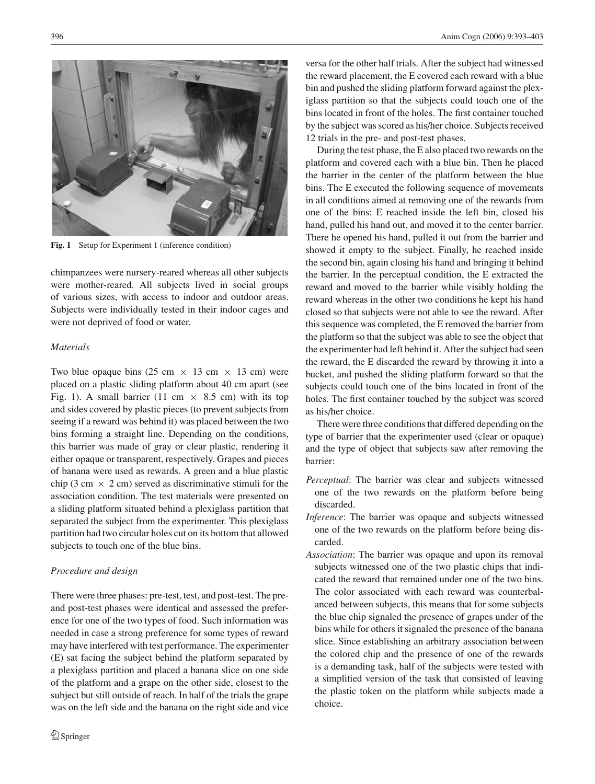<span id="page-3-0"></span>

**Fig. 1** Setup for Experiment 1 (inference condition)

chimpanzees were nursery-reared whereas all other subjects were mother-reared. All subjects lived in social groups of various sizes, with access to indoor and outdoor areas. Subjects were individually tested in their indoor cages and were not deprived of food or water.

# *Materials*

Two blue opaque bins (25 cm  $\times$  13 cm  $\times$  13 cm) were placed on a plastic sliding platform about 40 cm apart (see Fig. [1\)](#page-3-0). A small barrier (11 cm  $\times$  8.5 cm) with its top and sides covered by plastic pieces (to prevent subjects from seeing if a reward was behind it) was placed between the two bins forming a straight line. Depending on the conditions, this barrier was made of gray or clear plastic, rendering it either opaque or transparent, respectively. Grapes and pieces of banana were used as rewards. A green and a blue plastic chip (3 cm  $\times$  2 cm) served as discriminative stimuli for the association condition. The test materials were presented on a sliding platform situated behind a plexiglass partition that separated the subject from the experimenter. This plexiglass partition had two circular holes cut on its bottom that allowed subjects to touch one of the blue bins.

# *Procedure and design*

There were three phases: pre-test, test, and post-test. The preand post-test phases were identical and assessed the preference for one of the two types of food. Such information was needed in case a strong preference for some types of reward may have interfered with test performance. The experimenter (E) sat facing the subject behind the platform separated by a plexiglass partition and placed a banana slice on one side of the platform and a grape on the other side, closest to the subject but still outside of reach. In half of the trials the grape was on the left side and the banana on the right side and vice versa for the other half trials. After the subject had witnessed the reward placement, the E covered each reward with a blue bin and pushed the sliding platform forward against the plexiglass partition so that the subjects could touch one of the bins located in front of the holes. The first container touched by the subject was scored as his/her choice. Subjects received 12 trials in the pre- and post-test phases.

During the test phase, the E also placed two rewards on the platform and covered each with a blue bin. Then he placed the barrier in the center of the platform between the blue bins. The E executed the following sequence of movements in all conditions aimed at removing one of the rewards from one of the bins: E reached inside the left bin, closed his hand, pulled his hand out, and moved it to the center barrier. There he opened his hand, pulled it out from the barrier and showed it empty to the subject. Finally, he reached inside the second bin, again closing his hand and bringing it behind the barrier. In the perceptual condition, the E extracted the reward and moved to the barrier while visibly holding the reward whereas in the other two conditions he kept his hand closed so that subjects were not able to see the reward. After this sequence was completed, the E removed the barrier from the platform so that the subject was able to see the object that the experimenter had left behind it. After the subject had seen the reward, the E discarded the reward by throwing it into a bucket, and pushed the sliding platform forward so that the subjects could touch one of the bins located in front of the holes. The first container touched by the subject was scored as his/her choice.

There were three conditions that differed depending on the type of barrier that the experimenter used (clear or opaque) and the type of object that subjects saw after removing the barrier:

- *Perceptual*: The barrier was clear and subjects witnessed one of the two rewards on the platform before being discarded.
- *Inference*: The barrier was opaque and subjects witnessed one of the two rewards on the platform before being discarded.
- *Association*: The barrier was opaque and upon its removal subjects witnessed one of the two plastic chips that indicated the reward that remained under one of the two bins. The color associated with each reward was counterbalanced between subjects, this means that for some subjects the blue chip signaled the presence of grapes under of the bins while for others it signaled the presence of the banana slice. Since establishing an arbitrary association between the colored chip and the presence of one of the rewards is a demanding task, half of the subjects were tested with a simplified version of the task that consisted of leaving the plastic token on the platform while subjects made a choice.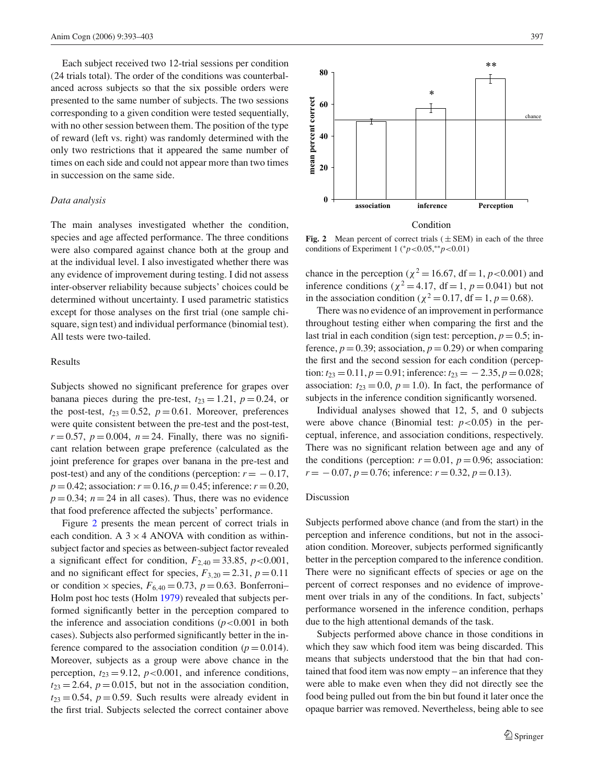Each subject received two 12-trial sessions per condition (24 trials total). The order of the conditions was counterbalanced across subjects so that the six possible orders were presented to the same number of subjects. The two sessions corresponding to a given condition were tested sequentially, with no other session between them. The position of the type of reward (left vs. right) was randomly determined with the only two restrictions that it appeared the same number of times on each side and could not appear more than two times in succession on the same side.

#### *Data analysis*

The main analyses investigated whether the condition, species and age affected performance. The three conditions were also compared against chance both at the group and at the individual level. I also investigated whether there was any evidence of improvement during testing. I did not assess inter-observer reliability because subjects' choices could be determined without uncertainty. I used parametric statistics except for those analyses on the first trial (one sample chisquare, sign test) and individual performance (binomial test). All tests were two-tailed.

#### Results

Subjects showed no significant preference for grapes over banana pieces during the pre-test,  $t_{23} = 1.21$ ,  $p = 0.24$ , or the post-test,  $t_{23} = 0.52$ ,  $p = 0.61$ . Moreover, preferences were quite consistent between the pre-test and the post-test,  $r = 0.57$ ,  $p = 0.004$ ,  $n = 24$ . Finally, there was no significant relation between grape preference (calculated as the joint preference for grapes over banana in the pre-test and post-test) and any of the conditions (perception:  $r = -0.17$ ,  $p = 0.42$ ; association:  $r = 0.16$ ,  $p = 0.45$ ; inference:  $r = 0.20$ ,  $p = 0.34$ ;  $n = 24$  in all cases). Thus, there was no evidence that food preference affected the subjects' performance.

Figure [2](#page-4-0) presents the mean percent of correct trials in each condition. A  $3 \times 4$  ANOVA with condition as withinsubject factor and species as between-subject factor revealed a significant effect for condition,  $F_{2,40} = 33.85$ ,  $p < 0.001$ , and no significant effect for species,  $F_{3,20} = 2.31$ ,  $p = 0.11$ or condition  $\times$  species,  $F_{6,40} = 0.73$ ,  $p = 0.63$ . Bonferroni– Holm post hoc tests (Holm [1979\)](#page-10-18) revealed that subjects performed significantly better in the perception compared to the inference and association conditions  $(p<0.001$  in both cases). Subjects also performed significantly better in the inference compared to the association condition  $(p = 0.014)$ . Moreover, subjects as a group were above chance in the perception,  $t_{23} = 9.12$ ,  $p < 0.001$ , and inference conditions,  $t_{23} = 2.64$ ,  $p = 0.015$ , but not in the association condition,  $t_{23} = 0.54$ ,  $p = 0.59$ . Such results were already evident in the first trial. Subjects selected the correct container above

<span id="page-4-0"></span>

Condition

**Fig. 2** Mean percent of correct trials  $(\pm$  SEM) in each of the three conditions of Experiment 1 (<sup>∗</sup>*p*<0.05,∗∗*p*<0.01)

chance in the perception ( $\chi^2$  = 16.67, df = 1, *p* < 0.001) and inference conditions ( $\chi^2$  = 4.17, df = 1, p = 0.041) but not in the association condition ( $\chi^2$  = 0.17, df = 1, *p* = 0.68).

There was no evidence of an improvement in performance throughout testing either when comparing the first and the last trial in each condition (sign test: perception,  $p = 0.5$ ; inference,  $p = 0.39$ ; association,  $p = 0.29$ ) or when comparing the first and the second session for each condition (perception:  $t_{23} = 0.11$ ,  $p = 0.91$ ; inference:  $t_{23} = -2.35$ ,  $p = 0.028$ ; association:  $t_{23} = 0.0$ ,  $p = 1.0$ ). In fact, the performance of subjects in the inference condition significantly worsened.

Individual analyses showed that 12, 5, and 0 subjects were above chance (Binomial test:  $p < 0.05$ ) in the perceptual, inference, and association conditions, respectively. There was no significant relation between age and any of the conditions (perception:  $r = 0.01$ ,  $p = 0.96$ ; association:  $r = -0.07, p = 0.76$ ; inference:  $r = 0.32, p = 0.13$ ).

## Discussion

Subjects performed above chance (and from the start) in the perception and inference conditions, but not in the association condition. Moreover, subjects performed significantly better in the perception compared to the inference condition. There were no significant effects of species or age on the percent of correct responses and no evidence of improvement over trials in any of the conditions. In fact, subjects' performance worsened in the inference condition, perhaps due to the high attentional demands of the task.

Subjects performed above chance in those conditions in which they saw which food item was being discarded. This means that subjects understood that the bin that had contained that food item was now empty – an inference that they were able to make even when they did not directly see the food being pulled out from the bin but found it later once the opaque barrier was removed. Nevertheless, being able to see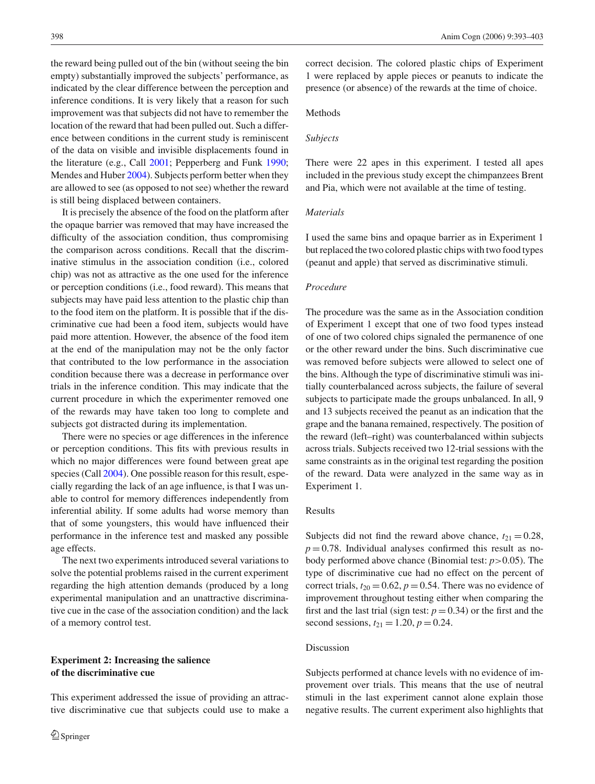the reward being pulled out of the bin (without seeing the bin empty) substantially improved the subjects' performance, as indicated by the clear difference between the perception and inference conditions. It is very likely that a reason for such improvement was that subjects did not have to remember the location of the reward that had been pulled out. Such a difference between conditions in the current study is reminiscent of the data on visible and invisible displacements found in the literature (e.g., Call [2001;](#page-10-19) Pepperberg and Funk [1990;](#page-10-20) Mendes and Huber [2004\)](#page-10-21). Subjects perform better when they are allowed to see (as opposed to not see) whether the reward is still being displaced between containers.

It is precisely the absence of the food on the platform after the opaque barrier was removed that may have increased the difficulty of the association condition, thus compromising the comparison across conditions. Recall that the discriminative stimulus in the association condition (i.e., colored chip) was not as attractive as the one used for the inference or perception conditions (i.e., food reward). This means that subjects may have paid less attention to the plastic chip than to the food item on the platform. It is possible that if the discriminative cue had been a food item, subjects would have paid more attention. However, the absence of the food item at the end of the manipulation may not be the only factor that contributed to the low performance in the association condition because there was a decrease in performance over trials in the inference condition. This may indicate that the current procedure in which the experimenter removed one of the rewards may have taken too long to complete and subjects got distracted during its implementation.

There were no species or age differences in the inference or perception conditions. This fits with previous results in which no major differences were found between great ape species (Call [2004\)](#page-10-12). One possible reason for this result, especially regarding the lack of an age influence, is that I was unable to control for memory differences independently from inferential ability. If some adults had worse memory than that of some youngsters, this would have influenced their performance in the inference test and masked any possible age effects.

The next two experiments introduced several variations to solve the potential problems raised in the current experiment regarding the high attention demands (produced by a long experimental manipulation and an unattractive discriminative cue in the case of the association condition) and the lack of a memory control test.

# **Experiment 2: Increasing the salience of the discriminative cue**

This experiment addressed the issue of providing an attractive discriminative cue that subjects could use to make a correct decision. The colored plastic chips of Experiment 1 were replaced by apple pieces or peanuts to indicate the presence (or absence) of the rewards at the time of choice.

## Methods

## *Subjects*

There were 22 apes in this experiment. I tested all apes included in the previous study except the chimpanzees Brent and Pia, which were not available at the time of testing.

#### *Materials*

I used the same bins and opaque barrier as in Experiment 1 but replaced the two colored plastic chips with two food types (peanut and apple) that served as discriminative stimuli.

## *Procedure*

The procedure was the same as in the Association condition of Experiment 1 except that one of two food types instead of one of two colored chips signaled the permanence of one or the other reward under the bins. Such discriminative cue was removed before subjects were allowed to select one of the bins. Although the type of discriminative stimuli was initially counterbalanced across subjects, the failure of several subjects to participate made the groups unbalanced. In all, 9 and 13 subjects received the peanut as an indication that the grape and the banana remained, respectively. The position of the reward (left–right) was counterbalanced within subjects across trials. Subjects received two 12-trial sessions with the same constraints as in the original test regarding the position of the reward. Data were analyzed in the same way as in Experiment 1.

# Results

Subjects did not find the reward above chance,  $t_{21} = 0.28$ ,  $p = 0.78$ . Individual analyses confirmed this result as nobody performed above chance (Binomial test: *p*>0.05). The type of discriminative cue had no effect on the percent of correct trials,  $t_{20} = 0.62$ ,  $p = 0.54$ . There was no evidence of improvement throughout testing either when comparing the first and the last trial (sign test:  $p = 0.34$ ) or the first and the second sessions,  $t_{21} = 1.20$ ,  $p = 0.24$ .

#### Discussion

Subjects performed at chance levels with no evidence of improvement over trials. This means that the use of neutral stimuli in the last experiment cannot alone explain those negative results. The current experiment also highlights that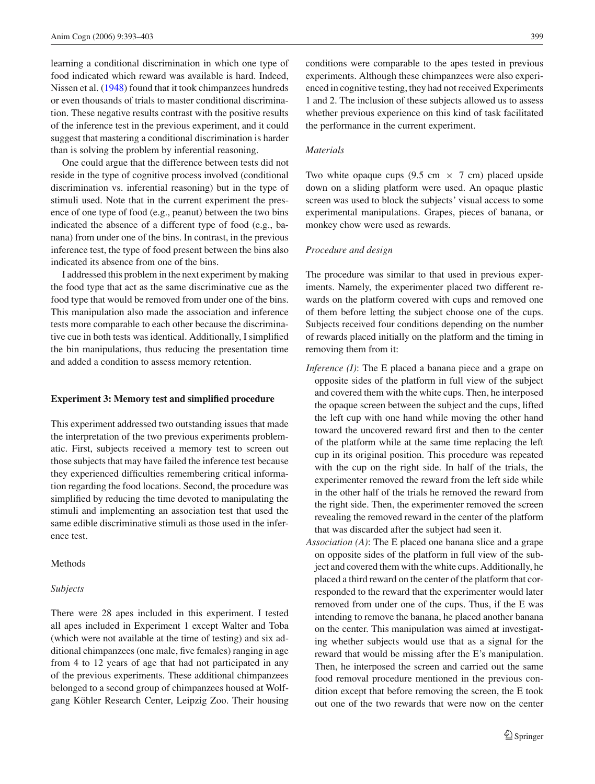learning a conditional discrimination in which one type of food indicated which reward was available is hard. Indeed, Nissen et al. [\(1948\)](#page-10-22) found that it took chimpanzees hundreds or even thousands of trials to master conditional discrimination. These negative results contrast with the positive results of the inference test in the previous experiment, and it could suggest that mastering a conditional discrimination is harder than is solving the problem by inferential reasoning.

One could argue that the difference between tests did not reside in the type of cognitive process involved (conditional discrimination vs. inferential reasoning) but in the type of stimuli used. Note that in the current experiment the presence of one type of food (e.g., peanut) between the two bins indicated the absence of a different type of food (e.g., banana) from under one of the bins. In contrast, in the previous inference test, the type of food present between the bins also indicated its absence from one of the bins.

I addressed this problem in the next experiment by making the food type that act as the same discriminative cue as the food type that would be removed from under one of the bins. This manipulation also made the association and inference tests more comparable to each other because the discriminative cue in both tests was identical. Additionally, I simplified the bin manipulations, thus reducing the presentation time and added a condition to assess memory retention.

#### **Experiment 3: Memory test and simplified procedure**

This experiment addressed two outstanding issues that made the interpretation of the two previous experiments problematic. First, subjects received a memory test to screen out those subjects that may have failed the inference test because they experienced difficulties remembering critical information regarding the food locations. Second, the procedure was simplified by reducing the time devoted to manipulating the stimuli and implementing an association test that used the same edible discriminative stimuli as those used in the inference test.

# Methods

## *Subjects*

There were 28 apes included in this experiment. I tested all apes included in Experiment 1 except Walter and Toba (which were not available at the time of testing) and six additional chimpanzees (one male, five females) ranging in age from 4 to 12 years of age that had not participated in any of the previous experiments. These additional chimpanzees belonged to a second group of chimpanzees housed at Wolfgang Köhler Research Center, Leipzig Zoo. Their housing conditions were comparable to the apes tested in previous experiments. Although these chimpanzees were also experienced in cognitive testing, they had not received Experiments 1 and 2. The inclusion of these subjects allowed us to assess whether previous experience on this kind of task facilitated the performance in the current experiment.

#### *Materials*

Two white opaque cups (9.5 cm  $\times$  7 cm) placed upside down on a sliding platform were used. An opaque plastic screen was used to block the subjects' visual access to some experimental manipulations. Grapes, pieces of banana, or monkey chow were used as rewards.

#### *Procedure and design*

The procedure was similar to that used in previous experiments. Namely, the experimenter placed two different rewards on the platform covered with cups and removed one of them before letting the subject choose one of the cups. Subjects received four conditions depending on the number of rewards placed initially on the platform and the timing in removing them from it:

- *Inference (I)*: The E placed a banana piece and a grape on opposite sides of the platform in full view of the subject and covered them with the white cups. Then, he interposed the opaque screen between the subject and the cups, lifted the left cup with one hand while moving the other hand toward the uncovered reward first and then to the center of the platform while at the same time replacing the left cup in its original position. This procedure was repeated with the cup on the right side. In half of the trials, the experimenter removed the reward from the left side while in the other half of the trials he removed the reward from the right side. Then, the experimenter removed the screen revealing the removed reward in the center of the platform that was discarded after the subject had seen it.
- *Association (A)*: The E placed one banana slice and a grape on opposite sides of the platform in full view of the subject and covered them with the white cups. Additionally, he placed a third reward on the center of the platform that corresponded to the reward that the experimenter would later removed from under one of the cups. Thus, if the E was intending to remove the banana, he placed another banana on the center. This manipulation was aimed at investigating whether subjects would use that as a signal for the reward that would be missing after the E's manipulation. Then, he interposed the screen and carried out the same food removal procedure mentioned in the previous condition except that before removing the screen, the E took out one of the two rewards that were now on the center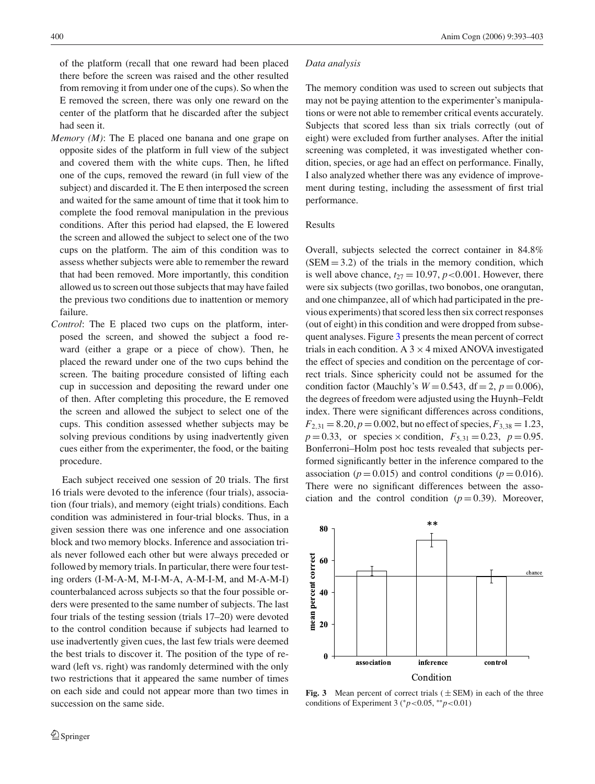of the platform (recall that one reward had been placed there before the screen was raised and the other resulted from removing it from under one of the cups). So when the E removed the screen, there was only one reward on the center of the platform that he discarded after the subject had seen it.

- *Memory (M)*: The E placed one banana and one grape on opposite sides of the platform in full view of the subject and covered them with the white cups. Then, he lifted one of the cups, removed the reward (in full view of the subject) and discarded it. The E then interposed the screen and waited for the same amount of time that it took him to complete the food removal manipulation in the previous conditions. After this period had elapsed, the E lowered the screen and allowed the subject to select one of the two cups on the platform. The aim of this condition was to assess whether subjects were able to remember the reward that had been removed. More importantly, this condition allowed us to screen out those subjects that may have failed the previous two conditions due to inattention or memory failure.
- *Control*: The E placed two cups on the platform, interposed the screen, and showed the subject a food reward (either a grape or a piece of chow). Then, he placed the reward under one of the two cups behind the screen. The baiting procedure consisted of lifting each cup in succession and depositing the reward under one of then. After completing this procedure, the E removed the screen and allowed the subject to select one of the cups. This condition assessed whether subjects may be solving previous conditions by using inadvertently given cues either from the experimenter, the food, or the baiting procedure.

Each subject received one session of 20 trials. The first 16 trials were devoted to the inference (four trials), association (four trials), and memory (eight trials) conditions. Each condition was administered in four-trial blocks. Thus, in a given session there was one inference and one association block and two memory blocks. Inference and association trials never followed each other but were always preceded or followed by memory trials. In particular, there were four testing orders (I-M-A-M, M-I-M-A, A-M-I-M, and M-A-M-I) counterbalanced across subjects so that the four possible orders were presented to the same number of subjects. The last four trials of the testing session (trials 17–20) were devoted to the control condition because if subjects had learned to use inadvertently given cues, the last few trials were deemed the best trials to discover it. The position of the type of reward (left vs. right) was randomly determined with the only two restrictions that it appeared the same number of times on each side and could not appear more than two times in succession on the same side.

#### *Data analysis*

The memory condition was used to screen out subjects that may not be paying attention to the experimenter's manipulations or were not able to remember critical events accurately. Subjects that scored less than six trials correctly (out of eight) were excluded from further analyses. After the initial screening was completed, it was investigated whether condition, species, or age had an effect on performance. Finally, I also analyzed whether there was any evidence of improvement during testing, including the assessment of first trial performance.

## Results

Overall, subjects selected the correct container in 84.8%  $(SEM = 3.2)$  of the trials in the memory condition, which is well above chance,  $t_{27} = 10.97$ ,  $p < 0.001$ . However, there were six subjects (two gorillas, two bonobos, one orangutan, and one chimpanzee, all of which had participated in the previous experiments) that scored less then six correct responses (out of eight) in this condition and were dropped from subsequent analyses. Figure [3](#page-7-0) presents the mean percent of correct trials in each condition. A  $3 \times 4$  mixed ANOVA investigated the effect of species and condition on the percentage of correct trials. Since sphericity could not be assumed for the condition factor (Mauchly's  $W = 0.543$ , df = 2,  $p = 0.006$ ), the degrees of freedom were adjusted using the Huynh–Feldt index. There were significant differences across conditions,  $F_{2,31} = 8.20, p = 0.002$ , but no effect of species,  $F_{3,38} = 1.23$ ,  $p = 0.33$ , or species × condition,  $F_{5,31} = 0.23$ ,  $p = 0.95$ . Bonferroni–Holm post hoc tests revealed that subjects performed significantly better in the inference compared to the association ( $p = 0.015$ ) and control conditions ( $p = 0.016$ ). There were no significant differences between the association and the control condition  $(p=0.39)$ . Moreover,

<span id="page-7-0"></span>

**Fig. 3** Mean percent of correct trials  $(\pm$  SEM) in each of the three conditions of Experiment 3 ( $p$  < 0.05, \*\* *p* < 0.01)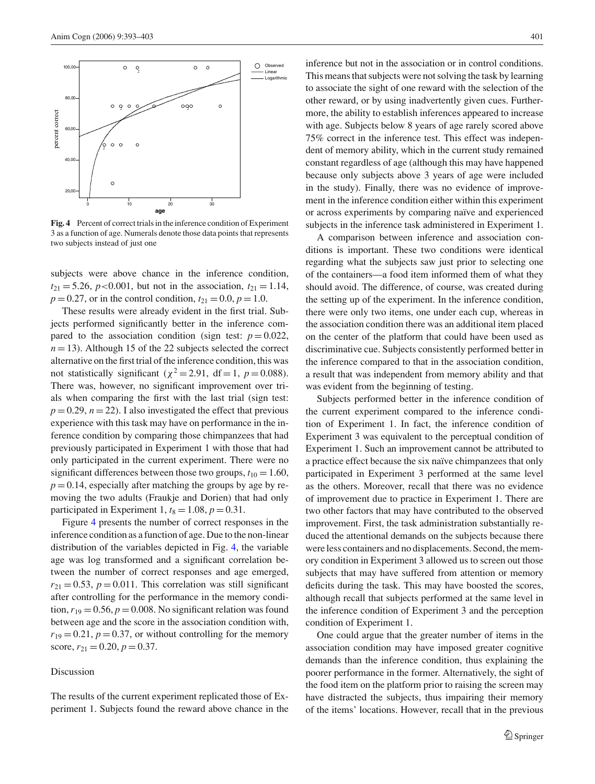<span id="page-8-0"></span>

**Fig. 4** Percent of correct trials in the inference condition of Experiment 3 as a function of age. Numerals denote those data points that represents two subjects instead of just one

subjects were above chance in the inference condition,  $t_{21} = 5.26$ ,  $p < 0.001$ , but not in the association,  $t_{21} = 1.14$ ,  $p = 0.27$ , or in the control condition,  $t_{21} = 0.0$ ,  $p = 1.0$ .

These results were already evident in the first trial. Subjects performed significantly better in the inference compared to the association condition (sign test:  $p = 0.022$ ,  $n = 13$ ). Although 15 of the 22 subjects selected the correct alternative on the first trial of the inference condition, this was not statistically significant ( $\chi^2$  = 2.91, df = 1, p = 0.088). There was, however, no significant improvement over trials when comparing the first with the last trial (sign test:  $p = 0.29$ ,  $n = 22$ ). I also investigated the effect that previous experience with this task may have on performance in the inference condition by comparing those chimpanzees that had previously participated in Experiment 1 with those that had only participated in the current experiment. There were no significant differences between those two groups,  $t_{10} = 1.60$ ,  $p = 0.14$ , especially after matching the groups by age by removing the two adults (Fraukje and Dorien) that had only participated in Experiment 1,  $t_8 = 1.08$ ,  $p = 0.31$ .

Figure [4](#page-8-0) presents the number of correct responses in the inference condition as a function of age. Due to the non-linear distribution of the variables depicted in Fig. [4,](#page-8-0) the variable age was log transformed and a significant correlation between the number of correct responses and age emerged,  $r_{21} = 0.53$ ,  $p = 0.011$ . This correlation was still significant after controlling for the performance in the memory condition,  $r_{19} = 0.56$ ,  $p = 0.008$ . No significant relation was found between age and the score in the association condition with,  $r_{19} = 0.21$ ,  $p = 0.37$ , or without controlling for the memory score,  $r_{21} = 0.20$ ,  $p = 0.37$ .

## Discussion

The results of the current experiment replicated those of Experiment 1. Subjects found the reward above chance in the

inference but not in the association or in control conditions. This means that subjects were not solving the task by learning to associate the sight of one reward with the selection of the other reward, or by using inadvertently given cues. Furthermore, the ability to establish inferences appeared to increase with age. Subjects below 8 years of age rarely scored above 75% correct in the inference test. This effect was independent of memory ability, which in the current study remained constant regardless of age (although this may have happened because only subjects above 3 years of age were included in the study). Finally, there was no evidence of improvement in the inference condition either within this experiment or across experiments by comparing naïve and experienced subjects in the inference task administered in Experiment 1.

A comparison between inference and association conditions is important. These two conditions were identical regarding what the subjects saw just prior to selecting one of the containers—a food item informed them of what they should avoid. The difference, of course, was created during the setting up of the experiment. In the inference condition, there were only two items, one under each cup, whereas in the association condition there was an additional item placed on the center of the platform that could have been used as discriminative cue. Subjects consistently performed better in the inference compared to that in the association condition, a result that was independent from memory ability and that was evident from the beginning of testing.

Subjects performed better in the inference condition of the current experiment compared to the inference condition of Experiment 1. In fact, the inference condition of Experiment 3 was equivalent to the perceptual condition of Experiment 1. Such an improvement cannot be attributed to a practice effect because the six naïve chimpanzees that only participated in Experiment 3 performed at the same level as the others. Moreover, recall that there was no evidence of improvement due to practice in Experiment 1. There are two other factors that may have contributed to the observed improvement. First, the task administration substantially reduced the attentional demands on the subjects because there were less containers and no displacements. Second, the memory condition in Experiment 3 allowed us to screen out those subjects that may have suffered from attention or memory deficits during the task. This may have boosted the scores, although recall that subjects performed at the same level in the inference condition of Experiment 3 and the perception condition of Experiment 1.

One could argue that the greater number of items in the association condition may have imposed greater cognitive demands than the inference condition, thus explaining the poorer performance in the former. Alternatively, the sight of the food item on the platform prior to raising the screen may have distracted the subjects, thus impairing their memory of the items' locations. However, recall that in the previous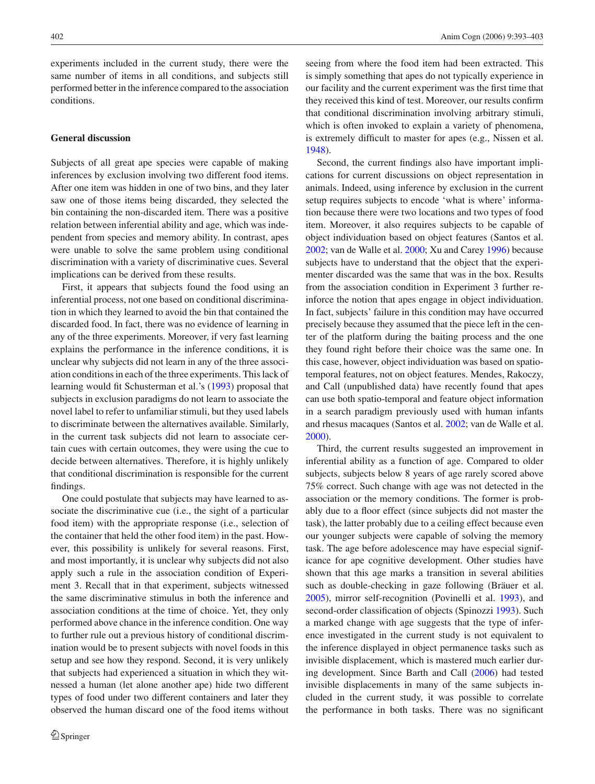experiments included in the current study, there were the same number of items in all conditions, and subjects still performed better in the inference compared to the association conditions.

## **General discussion**

Subjects of all great ape species were capable of making inferences by exclusion involving two different food items. After one item was hidden in one of two bins, and they later saw one of those items being discarded, they selected the bin containing the non-discarded item. There was a positive relation between inferential ability and age, which was independent from species and memory ability. In contrast, apes were unable to solve the same problem using conditional discrimination with a variety of discriminative cues. Several implications can be derived from these results.

First, it appears that subjects found the food using an inferential process, not one based on conditional discrimination in which they learned to avoid the bin that contained the discarded food. In fact, there was no evidence of learning in any of the three experiments. Moreover, if very fast learning explains the performance in the inference conditions, it is unclear why subjects did not learn in any of the three association conditions in each of the three experiments. This lack of learning would fit Schusterman et al.'s [\(1993\)](#page-10-3) proposal that subjects in exclusion paradigms do not learn to associate the novel label to refer to unfamiliar stimuli, but they used labels to discriminate between the alternatives available. Similarly, in the current task subjects did not learn to associate certain cues with certain outcomes, they were using the cue to decide between alternatives. Therefore, it is highly unlikely that conditional discrimination is responsible for the current findings.

One could postulate that subjects may have learned to associate the discriminative cue (i.e., the sight of a particular food item) with the appropriate response (i.e., selection of the container that held the other food item) in the past. However, this possibility is unlikely for several reasons. First, and most importantly, it is unclear why subjects did not also apply such a rule in the association condition of Experiment 3. Recall that in that experiment, subjects witnessed the same discriminative stimulus in both the inference and association conditions at the time of choice. Yet, they only performed above chance in the inference condition. One way to further rule out a previous history of conditional discrimination would be to present subjects with novel foods in this setup and see how they respond. Second, it is very unlikely that subjects had experienced a situation in which they witnessed a human (let alone another ape) hide two different types of food under two different containers and later they observed the human discard one of the food items without seeing from where the food item had been extracted. This is simply something that apes do not typically experience in our facility and the current experiment was the first time that they received this kind of test. Moreover, our results confirm that conditional discrimination involving arbitrary stimuli, which is often invoked to explain a variety of phenomena, is extremely difficult to master for apes (e.g., Nissen et al. [1948\)](#page-10-22).

Second, the current findings also have important implications for current discussions on object representation in animals. Indeed, using inference by exclusion in the current setup requires subjects to encode 'what is where' information because there were two locations and two types of food item. Moreover, it also requires subjects to be capable of object individuation based on object features (Santos et al. [2002;](#page-10-23) van de Walle et al. [2000;](#page-10-24) Xu and Carey [1996\)](#page-10-25) because subjects have to understand that the object that the experimenter discarded was the same that was in the box. Results from the association condition in Experiment 3 further reinforce the notion that apes engage in object individuation. In fact, subjects' failure in this condition may have occurred precisely because they assumed that the piece left in the center of the platform during the baiting process and the one they found right before their choice was the same one. In this case, however, object individuation was based on spatiotemporal features, not on object features. Mendes, Rakoczy, and Call (unpublished data) have recently found that apes can use both spatio-temporal and feature object information in a search paradigm previously used with human infants and rhesus macaques (Santos et al. [2002;](#page-10-23) van de Walle et al. [2000\)](#page-10-24).

Third, the current results suggested an improvement in inferential ability as a function of age. Compared to older subjects, subjects below 8 years of age rarely scored above 75% correct. Such change with age was not detected in the association or the memory conditions. The former is probably due to a floor effect (since subjects did not master the task), the latter probably due to a ceiling effect because even our younger subjects were capable of solving the memory task. The age before adolescence may have especial significance for ape cognitive development. Other studies have shown that this age marks a transition in several abilities such as double-checking in gaze following (Bräuer et al. [2005\)](#page-10-26), mirror self-recognition (Povinelli et al. [1993\)](#page-10-27), and second-order classification of objects (Spinozzi [1993\)](#page-10-28). Such a marked change with age suggests that the type of inference investigated in the current study is not equivalent to the inference displayed in object permanence tasks such as invisible displacement, which is mastered much earlier during development. Since Barth and Call [\(2006\)](#page-10-17) had tested invisible displacements in many of the same subjects included in the current study, it was possible to correlate the performance in both tasks. There was no significant